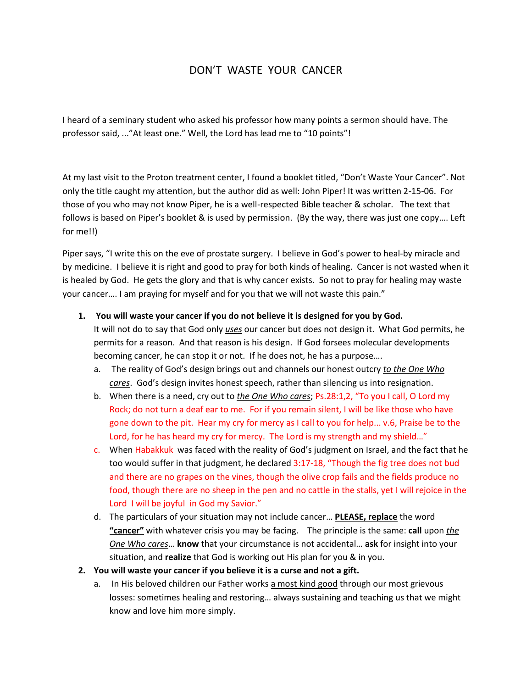## DON'T WASTE YOUR CANCER

I heard of a seminary student who asked his professor how many points a sermon should have. The professor said, ..."At least one." Well, the Lord has lead me to "10 points"!

At my last visit to the Proton treatment center, I found a booklet titled, "Don't Waste Your Cancer". Not only the title caught my attention, but the author did as well: John Piper! It was written 2-15-06. For those of you who may not know Piper, he is a well-respected Bible teacher & scholar. The text that follows is based on Piper's booklet & is used by permission. (By the way, there was just one copy…. Left for me!!)

Piper says, "I write this on the eve of prostate surgery. I believe in God's power to heal-by miracle and by medicine. I believe it is right and good to pray for both kinds of healing. Cancer is not wasted when it is healed by God. He gets the glory and that is why cancer exists. So not to pray for healing may waste your cancer…. I am praying for myself and for you that we will not waste this pain."

**1. You will waste your cancer if you do not believe it is designed for you by God.**

It will not do to say that God only *uses* our cancer but does not design it. What God permits, he permits for a reason. And that reason is his design. If God forsees molecular developments becoming cancer, he can stop it or not. If he does not, he has a purpose….

- a. The reality of God's design brings out and channels our honest outcry *to the One Who cares*. God's design invites honest speech, rather than silencing us into resignation.
- b. When there is a need, cry out to *the One Who cares*; Ps.28:1,2, "To you I call, O Lord my Rock; do not turn a deaf ear to me. For if you remain silent, I will be like those who have gone down to the pit. Hear my cry for mercy as I call to you for help... v.6, Praise be to the Lord, for he has heard my cry for mercy. The Lord is my strength and my shield…"
- c. When Habakkuk was faced with the reality of God's judgment on Israel, and the fact that he too would suffer in that judgment, he declared 3:17-18, "Though the fig tree does not bud and there are no grapes on the vines, though the olive crop fails and the fields produce no food, though there are no sheep in the pen and no cattle in the stalls, yet I will rejoice in the Lord I will be joyful in God my Savior."
- d. The particulars of your situation may not include cancer… **PLEASE, replace** the word **"cancer"** with whatever crisis you may be facing. The principle is the same: **call** upon *the One Who cares*… **know** that your circumstance is not accidental… **ask** for insight into your situation, and **realize** that God is working out His plan for you & in you.
- **2. You will waste your cancer if you believe it is a curse and not a gift.**
	- a. In His beloved children our Father works a most kind good through our most grievous losses: sometimes healing and restoring… always sustaining and teaching us that we might know and love him more simply.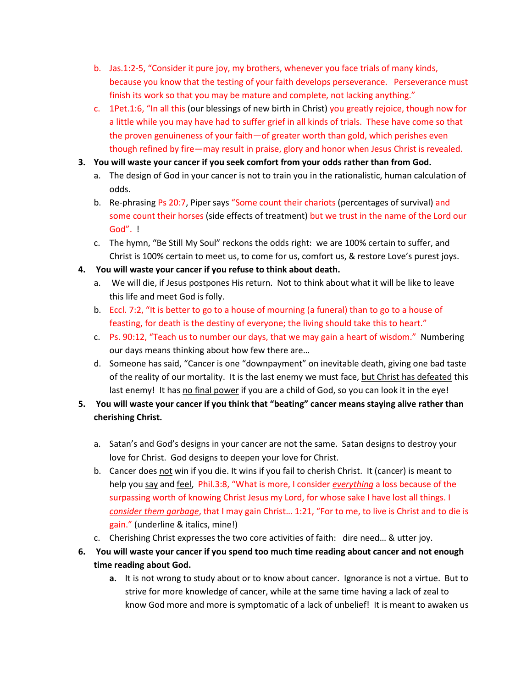- b. Jas.1:2-5, "Consider it pure joy, my brothers, whenever you face trials of many kinds, because you know that the testing of your faith develops perseverance. Perseverance must finish its work so that you may be mature and complete, not lacking anything."
- c. 1Pet.1:6, "In all this (our blessings of new birth in Christ) you greatly rejoice, though now for a little while you may have had to suffer grief in all kinds of trials. These have come so that the proven genuineness of your faith—of greater worth than gold, which perishes even though refined by fire—may result in praise, glory and honor when Jesus Christ is revealed.
- **3. You will waste your cancer if you seek comfort from your odds rather than from God.**
	- a. The design of God in your cancer is not to train you in the rationalistic, human calculation of odds.
	- b. Re-phrasing Ps 20:7, Piper says "Some count their chariots (percentages of survival) and some count their horses (side effects of treatment) but we trust in the name of the Lord our God". !
	- c. The hymn, "Be Still My Soul" reckons the odds right: we are 100% certain to suffer, and Christ is 100% certain to meet us, to come for us, comfort us, & restore Love's purest joys.
- **4. You will waste your cancer if you refuse to think about death.**
	- a. We will die, if Jesus postpones His return. Not to think about what it will be like to leave this life and meet God is folly.
	- b. Eccl. 7:2, "It is better to go to a house of mourning (a funeral) than to go to a house of feasting, for death is the destiny of everyone; the living should take this to heart."
	- c. Ps. 90:12, "Teach us to number our days, that we may gain a heart of wisdom." Numbering our days means thinking about how few there are…
	- d. Someone has said, "Cancer is one "downpayment" on inevitable death, giving one bad taste of the reality of our mortality. It is the last enemy we must face, but Christ has defeated this last enemy! It has no final power if you are a child of God, so you can look it in the eye!
- **5. You will waste your cancer if you think that "beating" cancer means staying alive rather than cherishing Christ.**
	- a. Satan's and God's designs in your cancer are not the same. Satan designs to destroy your love for Christ. God designs to deepen your love for Christ.
	- b. Cancer does not win if you die. It wins if you fail to cherish Christ. It (cancer) is meant to help you say and feel, Phil.3:8, "What is more, I consider *everything* a loss because of the surpassing worth of knowing Christ Jesus my Lord, for whose sake I have lost all things. I *consider them garbage*, that I may gain Christ… 1:21, "For to me, to live is Christ and to die is gain." (underline & italics, mine!)
	- c. Cherishing Christ expresses the two core activities of faith: dire need… & utter joy.
- **6. You will waste your cancer if you spend too much time reading about cancer and not enough time reading about God.** 
	- **a.** It is not wrong to study about or to know about cancer. Ignorance is not a virtue. But to strive for more knowledge of cancer, while at the same time having a lack of zeal to know God more and more is symptomatic of a lack of unbelief! It is meant to awaken us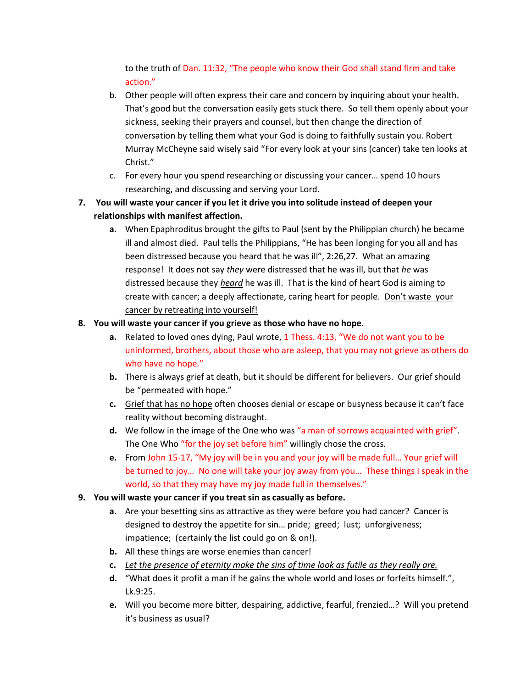to the truth of Dan. 11:32, "The people who know their God shall stand firm and take action."

- b. Other people will often express their care and concern by inquiring about your health. That's good but the conversation easily gets stuck there. So tell them openly about your sickness, seeking their prayers and counsel, but then change the direction of conversation by telling them what your God is doing to faithfully sustain you. Robert Murray McCheyne said wisely said "For every look at your sins (cancer) take ten looks at Christ."
- c. For every hour you spend researching or discussing your cancer… spend 10 hours researching, and discussing and serving your Lord.
- **7. You will waste your cancer if you let it drive you into solitude instead of deepen your relationships with manifest affection.**
	- **a.** When Epaphroditus brought the gifts to Paul (sent by the Philippian church) he became ill and almost died. Paul tells the Philippians, "He has been longing for you all and has been distressed because you heard that he was ill", 2:26,27. What an amazing response! It does not say *they* were distressed that he was ill, but that *he* was distressed because they *heard* he was ill. That is the kind of heart God is aiming to create with cancer; a deeply affectionate, caring heart for people. Don't waste your cancer by retreating into yourself!

## **8. You will waste your cancer if you grieve as those who have no hope.**

- **a.** Related to loved ones dying, Paul wrote, 1 Thess. 4:13, "We do not want you to be uninformed, brothers, about those who are asleep, that you may not grieve as others do who have no hope."
- **b.** There is always grief at death, but it should be different for believers. Our grief should be "permeated with hope."
- **c.** Grief that has no hope often chooses denial or escape or busyness because it can't face reality without becoming distraught.
- **d.** We follow in the image of the One who was "a man of sorrows acquainted with grief". The One Who "for the joy set before him" willingly chose the cross.
- **e.** From John 15-17, "My joy will be in you and your joy will be made full… Your grief will be turned to joy… No one will take your joy away from you… These things I speak in the world, so that they may have my joy made full in themselves."
- **9. You will waste your cancer if you treat sin as casually as before.**
	- **a.** Are your besetting sins as attractive as they were before you had cancer? Cancer is designed to destroy the appetite for sin… pride; greed; lust; unforgiveness; impatience; (certainly the list could go on & on!).
	- **b.** All these things are worse enemies than cancer!
	- **c.** *Let the presence of eternity make the sins of time look as futile as they really are.*
	- **d.** "What does it profit a man if he gains the whole world and loses or forfeits himself.", Lk.9:25.
	- **e.** Will you become more bitter, despairing, addictive, fearful, frenzied…? Will you pretend it's business as usual?